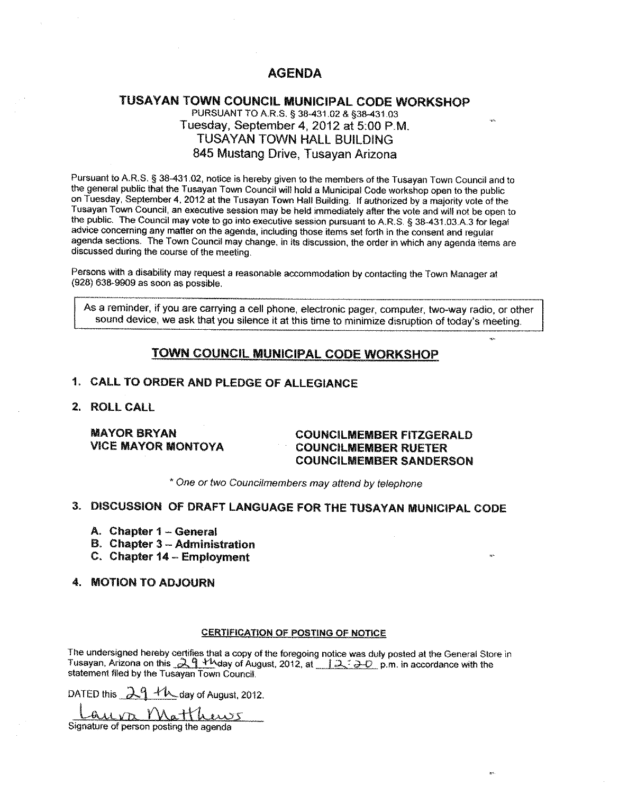# **AGENDA**

# TUSAYAN TOWN COUNCIL MUNICIPAL CODE WORKSHOP PURSUANT TO A.R.S. § 38-431.02 & §38-431.03 Tuesday, September 4, 2012 at 5:00 P.M. **TUSAYAN TOWN HALL BUILDING** 845 Mustang Drive, Tusayan Arizona

Pursuant to A.R.S. § 38-431.02, notice is hereby given to the members of the Tusayan Town Council and to the general public that the Tusayan Town Council will hold a Municipal Code workshop open to the public on Tuesday, September 4, 2012 at the Tusayan Town Hall Building. If authorized by a majority vote of the Tusayan Town Council, an executive session may be held immediately after the vote and will not be open to the public. The Council may vote to go into executive session pursuant to A.R.S. § 38-431.03.A.3 for legal advice concerning any matter on the agenda, including those items set forth in the consent and regular agenda sections. The Town Council may change, in its discussion, the order in which any agenda items are discussed during the course of the meeting.

Persons with a disability may request a reasonable accommodation by contacting the Town Manager at (928) 638-9909 as soon as possible.

As a reminder, if you are carrying a cell phone, electronic pager, computer, two-way radio, or other sound device, we ask that you silence it at this time to minimize disruption of today's meeting.

# TOWN COUNCIL MUNICIPAL CODE WORKSHOP

# 1. CALL TO ORDER AND PLEDGE OF ALLEGIANCE

2. ROLL CALL

**MAYOR BRYAN VICE MAYOR MONTOYA** 

#### **COUNCILMEMBER FITZGERALD COUNCILMEMBER RUETER COUNCILMEMBER SANDERSON**

\* One or two Councilmembers may attend by telephone

# 3. DISCUSSION OF DRAFT LANGUAGE FOR THE TUSAYAN MUNICIPAL CODE

- A. Chapter 1 General
- **B. Chapter 3 Administration**
- C. Chapter 14 Employment
- **4. MOTION TO ADJOURN**

#### **CERTIFICATION OF POSTING OF NOTICE**

The undersigned hereby certifies that a copy of the foregoing notice was duly posted at the General Store in Tusayan, Arizona on this  $29 + M$ day of August, 2012, at  $12 \div 7 - D$  p.m. in accordance with the statement filed by the Tusayan Town Council.

DATED this  $2.9 + 11$  day of August, 2012.

ura Matthews Signature of person posting the agenda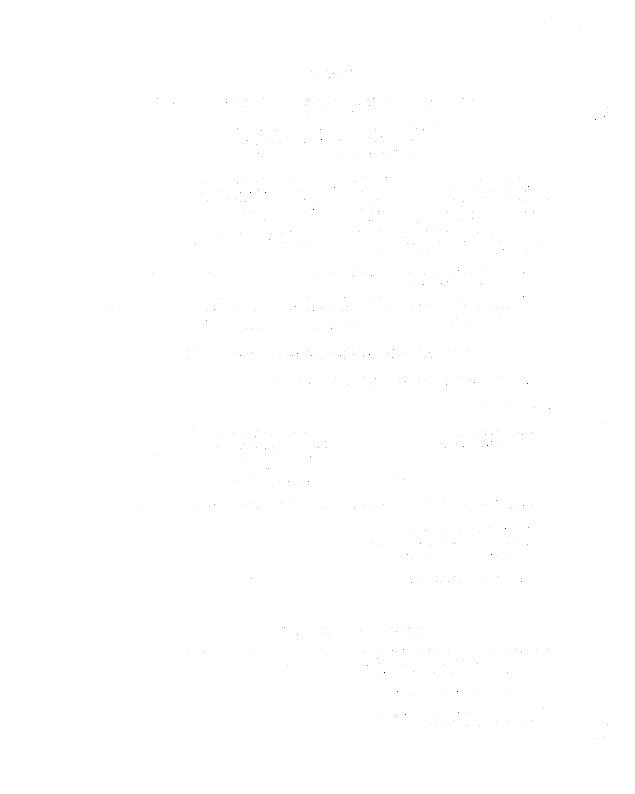$\alpha$  , in the second second section is a function of the  $\hat{f}$ 

 $\mathcal{L}_{\rm eff}$  is a second contract of the second parameter and the second contract of  $\sim 10^{-1}$  $\mathcal{L}^{\mathcal{L}}$  , we define the following the condition of  $\mathcal{L}^{\mathcal{L}}$ 

 $\mathcal{O}(\mathcal{O}(\log n))$  .

 $\mathcal{L}(\mathcal{L})$  and the following conditions of  $\mathcal{L}(\mathcal{L})$  and  $\mathcal{L}(\mathcal{L})$  and

Service and the Principles when the New Street and

 $\label{eq:2} \frac{1}{2} \left( \frac{1}{2} \left( \frac{1}{2} \right) \right) \left( \frac{1}{2} \left( \frac{1}{2} \right) \right) \left( \frac{1}{2} \left( \frac{1}{2} \right) \right) \left( \frac{1}{2} \right) \left( \frac{1}{2} \right) \left( \frac{1}{2} \right) \left( \frac{1}{2} \right) \left( \frac{1}{2} \right) \left( \frac{1}{2} \right) \left( \frac{1}{2} \right) \left( \frac{1}{2} \right) \left( \frac{1}{2} \right) \left( \frac{1}{2} \$ 

 $\label{eq:2.1} \begin{split} \mathcal{L}_{\text{max}}(\mathcal{L}_{\text{max}}(\mathcal{L}_{\text{max}}(\mathcal{L}_{\text{max}}(\mathcal{L}_{\text{max}}(\mathcal{L}_{\text{max}}(\mathcal{L}_{\text{max}}(\mathcal{L}_{\text{max}}(\mathcal{L}_{\text{max}}(\mathcal{L}_{\text{max}}(\mathcal{L}_{\text{max}}(\mathcal{L}_{\text{max}}(\mathcal{L}_{\text{max}}(\mathcal{L}_{\text{max}}(\mathcal{L}_{\text{max}}(\mathcal{L}_{\text{max}}(\mathcal{L}_{\text{max}}(\mathcal{L}_{\text{max}}(\mathcal{L}_{\text$  $\mathcal{O}(\mathcal{O}_\mathcal{O})$  , where  $\mathcal{O}_\mathcal{O}(\mathcal{O}_\mathcal{O})$  is the contribution of  $\mathcal{O}_\mathcal{O}(\mathcal{O}_\mathcal{O})$  $\mathcal{L}_{\text{max}}$  and  $\mathcal{L}_{\text{max}}$  $\mathcal{A}$  and the second constant  $\mathcal{A}$  , and the second constant  $\mathcal{A}$ 

and the second state of the state of the state of the state of the state of the state of the state and

 $\mathcal{A}_1$  , and  $\mathcal{A}_2$  , and  $\mathcal{A}_3$  , and  $\mathcal{A}_4$  $\label{eq:2} \begin{split} \mathcal{H}^{1}_{\mathcal{A}}(\mathcal{A}_{\mathcal{A}}) & = \mathcal{H}^{1}_{\mathcal{A}}(\mathcal{A}_{\mathcal{A}}) & = \mathcal{H}^{1}_{\mathcal{A}}(\mathcal{A}_{\mathcal{A}}) & = \mathcal{H}^{1}_{\mathcal{A}}(\mathcal{A}_{\mathcal{A}}) \\ & = \mathcal{H}^{1}_{\mathcal{A}}(\mathcal{A}_{\mathcal{A}}) & = \mathcal{H}^{1}_{\mathcal{A}}(\mathcal{A}_{\mathcal{A}}) & = \mathcal{H}^{1}_{\mathcal{A}}(\mathcal{A}_{\mathcal{A}}$ 

 $\sim$  $\mathcal{L}_{\rm{max}}$  and the second constraint  $\mathcal{L}_{\rm{max}}$  and  $\mathcal{L}_{\rm{max}}$  are the second constraint of the second constraint  $\mathcal{L}_{\rm{max}}$ 

# **TAT TAKES TO THE TATAL**

 $\mathcal{L}^{\mathcal{L}}(\mathcal{L}^{\mathcal{L}}(\mathcal{L}^{\mathcal{L}}(\mathcal{L}^{\mathcal{L}}(\mathcal{L}^{\mathcal{L}}(\mathcal{L}^{\mathcal{L}}(\mathcal{L}^{\mathcal{L}}(\mathcal{L}^{\mathcal{L}}(\mathcal{L}^{\mathcal{L}}(\mathcal{L}^{\mathcal{L}}(\mathcal{L}^{\mathcal{L}}(\mathcal{L}^{\mathcal{L}}(\mathcal{L}^{\mathcal{L}}(\mathcal{L}^{\mathcal{L}}(\mathcal{L}^{\mathcal{L}}(\mathcal{L}^{\mathcal{L}}(\mathcal{L}^{\mathcal{L$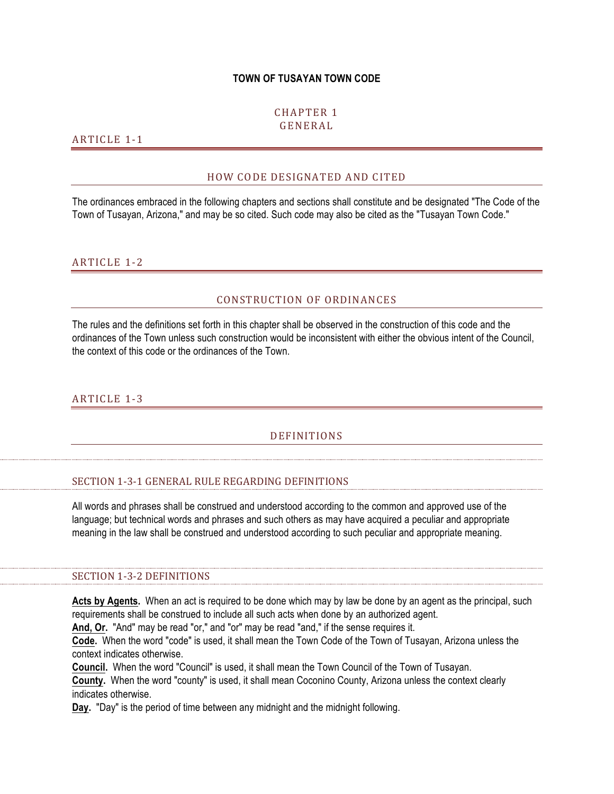### **TOWN OF TUSAYAN TOWN CODE**

# CHAPTER<sub>1</sub> GENERAL

ARTICLE 1-1

# HOW CODE DESIGNATED AND CITED

The ordinances embraced in the following chapters and sections shall constitute and be designated "The Code of the Town of Tusayan, Arizona," and may be so cited. Such code may also be cited as the "Tusayan Town Code."

#### ARTICLE 1-2

### CONSTRUCTION OF ORDINANCES

The rules and the definitions set forth in this chapter shall be observed in the construction of this code and the ordinances of the Town unless such construction would be inconsistent with either the obvious intent of the Council, the context of this code or the ordinances of the Town.

#### ARTICLE 1-3

#### DEFINITIONS

# SECTION 1-3-1 GENERAL RULE REGARDING DEFINITIONS

All words and phrases shall be construed and understood according to the common and approved use of the language; but technical words and phrases and such others as may have acquired a peculiar and appropriate meaning in the law shall be construed and understood according to such peculiar and appropriate meaning.

#### SECTION 1-3-2 DEFINITIONS

**Acts by Agents.** When an act is required to be done which may by law be done by an agent as the principal, such requirements shall be construed to include all such acts when done by an authorized agent.

**And, Or.** "And" may be read "or," and "or" may be read "and," if the sense requires it.

**Code.** When the word "code" is used, it shall mean the Town Code of the Town of Tusayan, Arizona unless the context indicates otherwise.

**Council.** When the word "Council" is used, it shall mean the Town Council of the Town of Tusayan.

**County.** When the word "county" is used, it shall mean Coconino County, Arizona unless the context clearly indicates otherwise.

**Day.** "Day" is the period of time between any midnight and the midnight following.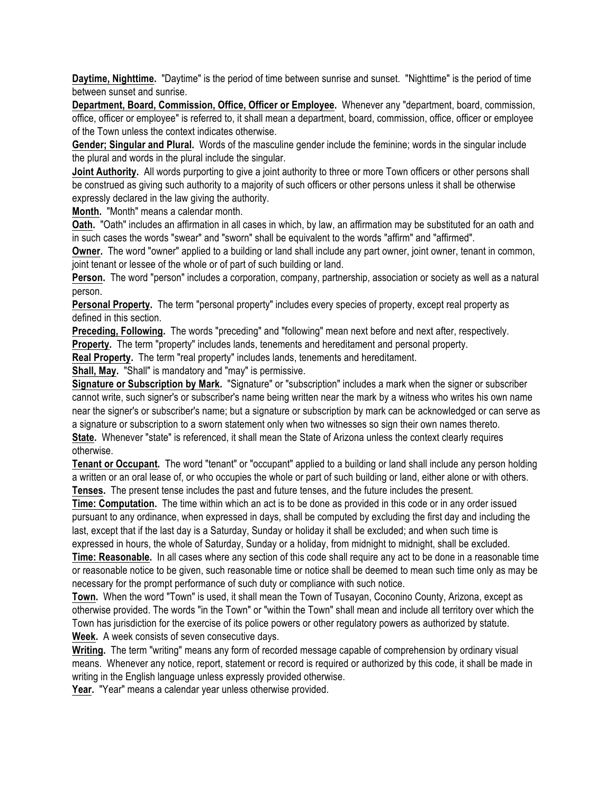**Daytime, Nighttime.** "Daytime" is the period of time between sunrise and sunset. "Nighttime" is the period of time between sunset and sunrise.

**Department, Board, Commission, Office, Officer or Employee.** Whenever any "department, board, commission, office, officer or employee" is referred to, it shall mean a department, board, commission, office, officer or employee of the Town unless the context indicates otherwise.

**Gender; Singular and Plural.** Words of the masculine gender include the feminine; words in the singular include the plural and words in the plural include the singular.

**Joint Authority.** All words purporting to give a joint authority to three or more Town officers or other persons shall be construed as giving such authority to a majority of such officers or other persons unless it shall be otherwise expressly declared in the law giving the authority.

**Month.** "Month" means a calendar month.

**Oath.** "Oath" includes an affirmation in all cases in which, by law, an affirmation may be substituted for an oath and in such cases the words "swear" and "sworn" shall be equivalent to the words "affirm" and "affirmed".

**Owner.** The word "owner" applied to a building or land shall include any part owner, joint owner, tenant in common, joint tenant or lessee of the whole or of part of such building or land.

**Person.** The word "person" includes a corporation, company, partnership, association or society as well as a natural person.

**Personal Property.** The term "personal property" includes every species of property, except real property as defined in this section.

**Preceding, Following.** The words "preceding" and "following" mean next before and next after, respectively. **Property.** The term "property" includes lands, tenements and hereditament and personal property.

**Real Property.** The term "real property" includes lands, tenements and hereditament.

**Shall, May.** "Shall" is mandatory and "may" is permissive.

**Signature or Subscription by Mark.** "Signature" or "subscription" includes a mark when the signer or subscriber cannot write, such signer's or subscriber's name being written near the mark by a witness who writes his own name near the signer's or subscriber's name; but a signature or subscription by mark can be acknowledged or can serve as a signature or subscription to a sworn statement only when two witnesses so sign their own names thereto. **State.** Whenever "state" is referenced, it shall mean the State of Arizona unless the context clearly requires

otherwise.

**Tenant or Occupant.** The word "tenant" or "occupant" applied to a building or land shall include any person holding a written or an oral lease of, or who occupies the whole or part of such building or land, either alone or with others. **Tenses.** The present tense includes the past and future tenses, and the future includes the present.

**Time: Computation.** The time within which an act is to be done as provided in this code or in any order issued pursuant to any ordinance, when expressed in days, shall be computed by excluding the first day and including the last, except that if the last day is a Saturday, Sunday or holiday it shall be excluded; and when such time is expressed in hours, the whole of Saturday, Sunday or a holiday, from midnight to midnight, shall be excluded. **Time: Reasonable.** In all cases where any section of this code shall require any act to be done in a reasonable time or reasonable notice to be given, such reasonable time or notice shall be deemed to mean such time only as may be necessary for the prompt performance of such duty or compliance with such notice.

**Town.** When the word "Town" is used, it shall mean the Town of Tusayan, Coconino County, Arizona, except as otherwise provided. The words "in the Town" or "within the Town" shall mean and include all territory over which the Town has jurisdiction for the exercise of its police powers or other regulatory powers as authorized by statute. **Week.** A week consists of seven consecutive days.

**Writing.** The term "writing" means any form of recorded message capable of comprehension by ordinary visual means. Whenever any notice, report, statement or record is required or authorized by this code, it shall be made in writing in the English language unless expressly provided otherwise.

**Year.** "Year" means a calendar year unless otherwise provided.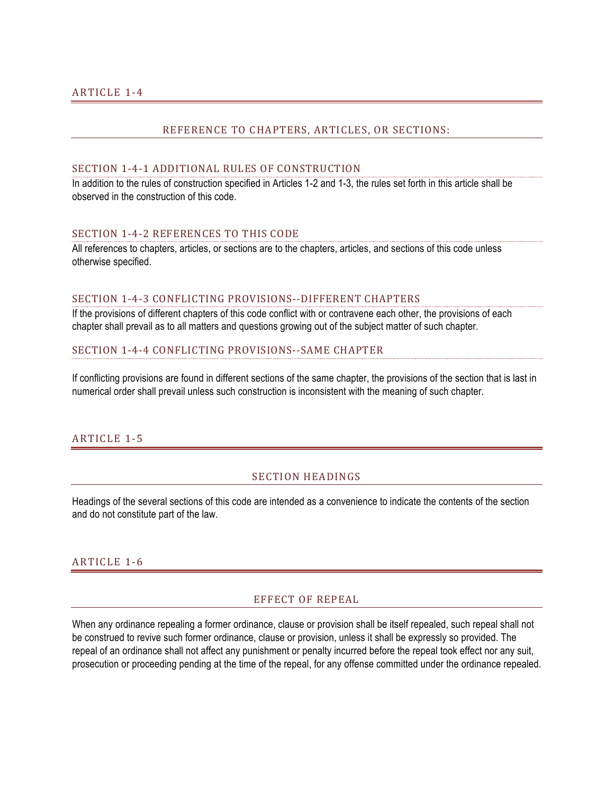# REFERENCE TO CHAPTERS, ARTICLES, OR SECTIONS:

#### SECTION 1-4-1 ADDITIONAL RULES OF CONSTRUCTION

In addition to the rules of construction specified in Articles 1-2 and 1-3, the rules set forth in this article shall be observed in the construction of this code.

### SECTION 1-4-2 REFERENCES TO THIS CODE

All references to chapters, articles, or sections are to the chapters, articles, and sections of this code unless otherwise specified.

#### SECTION 1-4-3 CONFLICTING PROVISIONS--DIFFERENT CHAPTERS

If the provisions of different chapters of this code conflict with or contravene each other, the provisions of each chapter shall prevail as to all matters and questions growing out of the subject matter of such chapter.

# SECTION 1-4-4 CONFLICTING PROVISIONS--SAME CHAPTER

If conflicting provisions are found in different sections of the same chapter, the provisions of the section that is last in numerical order shall prevail unless such construction is inconsistent with the meaning of such chapter.

### ARTICLE 1-5

### SECTION HEADINGS

Headings of the several sections of this code are intended as a convenience to indicate the contents of the section and do not constitute part of the law.

### ARTICLE 1-6

#### EFFECT OF REPEAL

When any ordinance repealing a former ordinance, clause or provision shall be itself repealed, such repeal shall not be construed to revive such former ordinance, clause or provision, unless it shall be expressly so provided. The repeal of an ordinance shall not affect any punishment or penalty incurred before the repeal took effect nor any suit, prosecution or proceeding pending at the time of the repeal, for any offense committed under the ordinance repealed.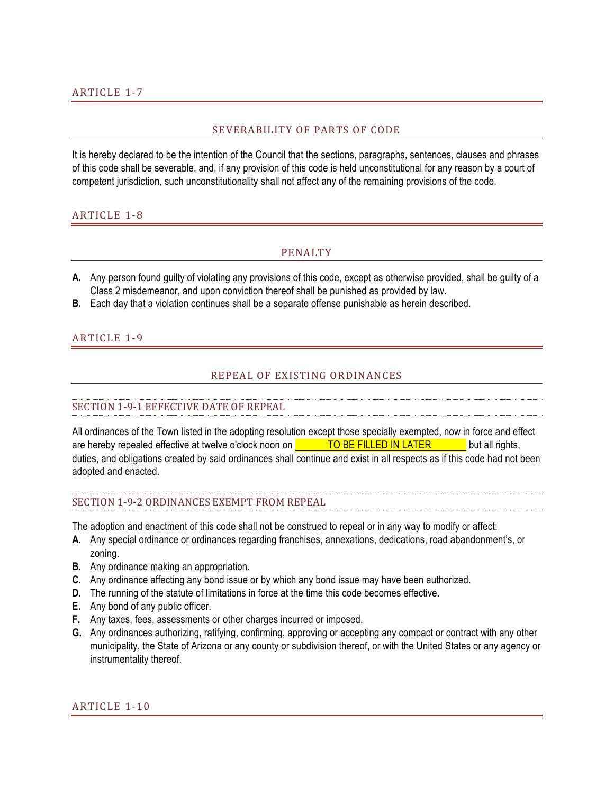# SEVERABILITY OF PARTS OF CODE

It is hereby declared to be the intention of the Council that the sections, paragraphs, sentences, clauses and phrases of this code shall be severable, and, if any provision of this code is held unconstitutional for any reason by a court of competent jurisdiction, such unconstitutionality shall not affect any of the remaining provisions of the code.

# ARTICLE 1-8

### PENALTY

- **A.** Any person found guilty of violating any provisions of this code, except as otherwise provided, shall be guilty of a Class 2 misdemeanor, and upon conviction thereof shall be punished as provided by law.
- **B.** Each day that a violation continues shall be a separate offense punishable as herein described.

# ARTICLE 1-9

# REPEAL OF EXISTING ORDINANCES

# SECTION 1-9-1 EFFECTIVE DATE OF REPEAL

All ordinances of the Town listed in the adopting resolution except those specially exempted, now in force and effect are hereby repealed effective at twelve o'clock noon on TO BE FILLED IN LATER but all rights, duties, and obligations created by said ordinances shall continue and exist in all respects as if this code had not been adopted and enacted.

# SECTION 1-9-2 ORDINANCES EXEMPT FROM REPEAL

The adoption and enactment of this code shall not be construed to repeal or in any way to modify or affect:

- **A.** Any special ordinance or ordinances regarding franchises, annexations, dedications, road abandonment's, or zoning.
- **B.** Any ordinance making an appropriation.
- **C.** Any ordinance affecting any bond issue or by which any bond issue may have been authorized.
- **D.** The running of the statute of limitations in force at the time this code becomes effective.
- **E.** Any bond of any public officer.
- **F.** Any taxes, fees, assessments or other charges incurred or imposed.
- **G.** Any ordinances authorizing, ratifying, confirming, approving or accepting any compact or contract with any other municipality, the State of Arizona or any county or subdivision thereof, or with the United States or any agency or instrumentality thereof.

#### ARTICLE 1-10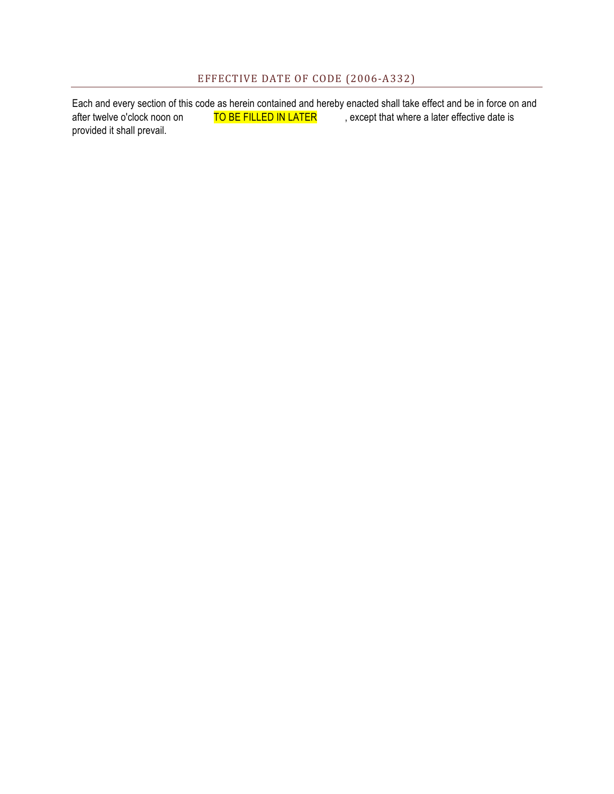Each and every section of this code as herein contained and hereby enacted shall take effect and be in force on and after twelve o'clock noon on TO BE FILLED IN LATER , except that where a later effective date is after twelve o'clock noon on TO BE FILLED IN LATER , except that where a later effective date is provided it shall prevail.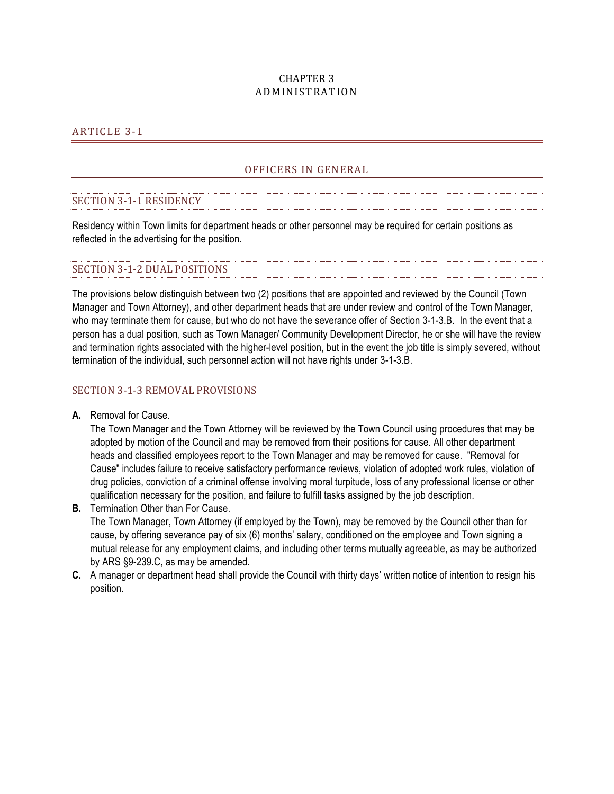### **CHAPTER 3** ADMINISTRATION

# ARTICLE 3-1

### OFFICERS IN GENERAL

# SECTION 3-1-1 RESIDENCY **SECTION** 3-1-1 RESIDENCY

Residency within Town limits for department heads or other personnel may be required for certain positions as reflected in the advertising for the position.

# SECTION 3-1-2 DUAL POSITIONS

The provisions below distinguish between two (2) positions that are appointed and reviewed by the Council (Town Manager and Town Attorney), and other department heads that are under review and control of the Town Manager, who may terminate them for cause, but who do not have the severance offer of Section 3-1-3.B. In the event that a person has a dual position, such as Town Manager/ Community Development Director, he or she will have the review and termination rights associated with the higher-level position, but in the event the job title is simply severed, without termination of the individual, such personnel action will not have rights under 3-1-3.B.

# SECTION 3-1-3 REMOVAL PROVISIONS

**A.** Removal for Cause.

The Town Manager and the Town Attorney will be reviewed by the Town Council using procedures that may be adopted by motion of the Council and may be removed from their positions for cause. All other department heads and classified employees report to the Town Manager and may be removed for cause. "Removal for Cause" includes failure to receive satisfactory performance reviews, violation of adopted work rules, violation of drug policies, conviction of a criminal offense involving moral turpitude, loss of any professional license or other qualification necessary for the position, and failure to fulfill tasks assigned by the job description.

**B.** Termination Other than For Cause.

The Town Manager, Town Attorney (if employed by the Town), may be removed by the Council other than for cause, by offering severance pay of six (6) months' salary, conditioned on the employee and Town signing a mutual release for any employment claims, and including other terms mutually agreeable, as may be authorized by ARS §9-239.C, as may be amended.

**C.** A manager or department head shall provide the Council with thirty days' written notice of intention to resign his position.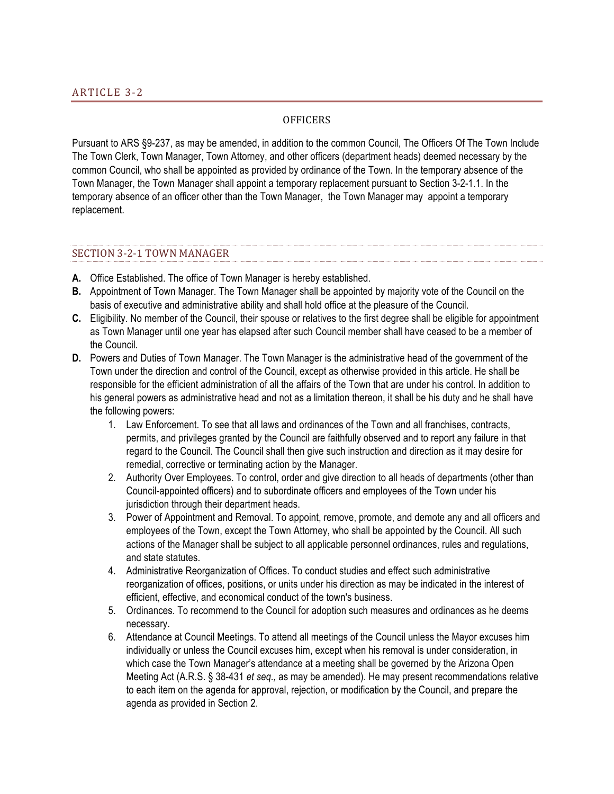# **OFFICERS**

Pursuant to ARS §9-237, as may be amended, in addition to the common Council, The Officers Of The Town Include The Town Clerk, Town Manager, Town Attorney, and other officers (department heads) deemed necessary by the common Council, who shall be appointed as provided by ordinance of the Town. In the temporary absence of the Town Manager, the Town Manager shall appoint a temporary replacement pursuant to Section 3-2-1.1. In the temporary absence of an officer other than the Town Manager, the Town Manager may appoint a temporary replacement.

# SECTION 3-2-1 TOWN MANAGER

- **A.** Office Established. The office of Town Manager is hereby established.
- **B.** Appointment of Town Manager. The Town Manager shall be appointed by majority vote of the Council on the basis of executive and administrative ability and shall hold office at the pleasure of the Council.
- **C.** Eligibility. No member of the Council, their spouse or relatives to the first degree shall be eligible for appointment as Town Manager until one year has elapsed after such Council member shall have ceased to be a member of the Council.
- **D.** Powers and Duties of Town Manager. The Town Manager is the administrative head of the government of the Town under the direction and control of the Council, except as otherwise provided in this article. He shall be responsible for the efficient administration of all the affairs of the Town that are under his control. In addition to his general powers as administrative head and not as a limitation thereon, it shall be his duty and he shall have the following powers:
	- 1. Law Enforcement. To see that all laws and ordinances of the Town and all franchises, contracts, permits, and privileges granted by the Council are faithfully observed and to report any failure in that regard to the Council. The Council shall then give such instruction and direction as it may desire for remedial, corrective or terminating action by the Manager.
	- 2. Authority Over Employees. To control, order and give direction to all heads of departments (other than Council-appointed officers) and to subordinate officers and employees of the Town under his jurisdiction through their department heads.
	- 3. Power of Appointment and Removal. To appoint, remove, promote, and demote any and all officers and employees of the Town, except the Town Attorney, who shall be appointed by the Council. All such actions of the Manager shall be subject to all applicable personnel ordinances, rules and regulations, and state statutes.
	- 4. Administrative Reorganization of Offices. To conduct studies and effect such administrative reorganization of offices, positions, or units under his direction as may be indicated in the interest of efficient, effective, and economical conduct of the town's business.
	- 5. Ordinances. To recommend to the Council for adoption such measures and ordinances as he deems necessary.
	- 6. Attendance at Council Meetings. To attend all meetings of the Council unless the Mayor excuses him individually or unless the Council excuses him, except when his removal is under consideration, in which case the Town Manager's attendance at a meeting shall be governed by the Arizona Open Meeting Act (A.R.S. § 38-431 *et seq.,* as may be amended). He may present recommendations relative to each item on the agenda for approval, rejection, or modification by the Council, and prepare the agenda as provided in Section 2.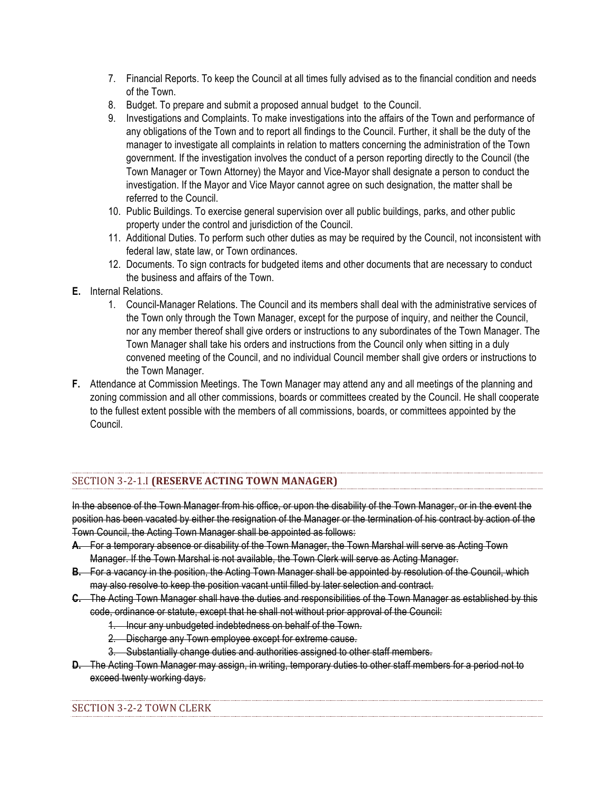- 7. Financial Reports. To keep the Council at all times fully advised as to the financial condition and needs of the Town.
- 8. Budget. To prepare and submit a proposed annual budget to the Council.
- 9. Investigations and Complaints. To make investigations into the affairs of the Town and performance of any obligations of the Town and to report all findings to the Council. Further, it shall be the duty of the manager to investigate all complaints in relation to matters concerning the administration of the Town government. If the investigation involves the conduct of a person reporting directly to the Council (the Town Manager or Town Attorney) the Mayor and Vice-Mayor shall designate a person to conduct the investigation. If the Mayor and Vice Mayor cannot agree on such designation, the matter shall be referred to the Council.
- 10. Public Buildings. To exercise general supervision over all public buildings, parks, and other public property under the control and jurisdiction of the Council.
- 11. Additional Duties. To perform such other duties as may be required by the Council, not inconsistent with federal law, state law, or Town ordinances.
- 12. Documents. To sign contracts for budgeted items and other documents that are necessary to conduct the business and affairs of the Town.
- **E.** Internal Relations.
	- 1. Council-Manager Relations. The Council and its members shall deal with the administrative services of the Town only through the Town Manager, except for the purpose of inquiry, and neither the Council, nor any member thereof shall give orders or instructions to any subordinates of the Town Manager. The Town Manager shall take his orders and instructions from the Council only when sitting in a duly convened meeting of the Council, and no individual Council member shall give orders or instructions to the Town Manager.
- **F.** Attendance at Commission Meetings. The Town Manager may attend any and all meetings of the planning and zoning commission and all other commissions, boards or committees created by the Council. He shall cooperate to the fullest extent possible with the members of all commissions, boards, or committees appointed by the Council.

# SECTION 3-2-1.I (RESERVE ACTING TOWN MANAGER)

In the absence of the Town Manager from his office, or upon the disability of the Town Manager, or in the event the position has been vacated by either the resignation of the Manager or the termination of his contract by action of the Town Council, the Acting Town Manager shall be appointed as follows:

- **A.** For a temporary absence or disability of the Town Manager, the Town Marshal will serve as Acting Town Manager. If the Town Marshal is not available, the Town Clerk will serve as Acting Manager.
- **B.** For a vacancy in the position, the Acting Town Manager shall be appointed by resolution of the Council, which may also resolve to keep the position vacant until filled by later selection and contract.
- **C.** The Acting Town Manager shall have the duties and responsibilities of the Town Manager as established by this code, ordinance or statute, except that he shall not without prior approval of the Council:
	- 1. Incur any unbudgeted indebtedness on behalf of the Town.
	- 2. Discharge any Town employee except for extreme cause.
	- 3. Substantially change duties and authorities assigned to other staff members.
- **D.** The Acting Town Manager may assign, in writing, temporary duties to other staff members for a period not to exceed twenty working days.

# SECTION 3-2-2 TOWN CLERK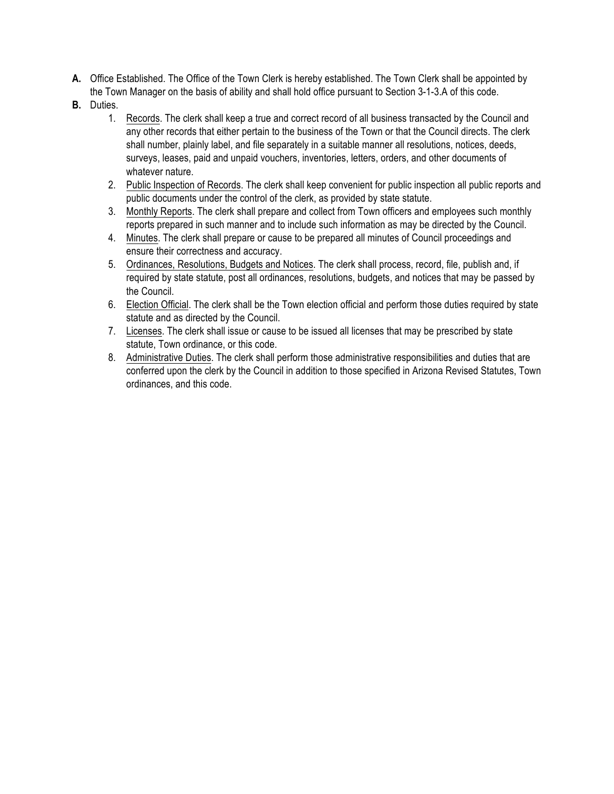- **A.** Office Established. The Office of the Town Clerk is hereby established. The Town Clerk shall be appointed by the Town Manager on the basis of ability and shall hold office pursuant to Section 3-1-3.A of this code.
- **B.** Duties.
	- 1. Records. The clerk shall keep a true and correct record of all business transacted by the Council and any other records that either pertain to the business of the Town or that the Council directs. The clerk shall number, plainly label, and file separately in a suitable manner all resolutions, notices, deeds, surveys, leases, paid and unpaid vouchers, inventories, letters, orders, and other documents of whatever nature.
	- 2. Public Inspection of Records. The clerk shall keep convenient for public inspection all public reports and public documents under the control of the clerk, as provided by state statute.
	- 3. Monthly Reports. The clerk shall prepare and collect from Town officers and employees such monthly reports prepared in such manner and to include such information as may be directed by the Council.
	- 4. Minutes. The clerk shall prepare or cause to be prepared all minutes of Council proceedings and ensure their correctness and accuracy.
	- 5. Ordinances, Resolutions, Budgets and Notices. The clerk shall process, record, file, publish and, if required by state statute, post all ordinances, resolutions, budgets, and notices that may be passed by the Council.
	- 6. Election Official. The clerk shall be the Town election official and perform those duties required by state statute and as directed by the Council.
	- 7. Licenses. The clerk shall issue or cause to be issued all licenses that may be prescribed by state statute, Town ordinance, or this code.
	- 8. Administrative Duties. The clerk shall perform those administrative responsibilities and duties that are conferred upon the clerk by the Council in addition to those specified in Arizona Revised Statutes, Town ordinances, and this code.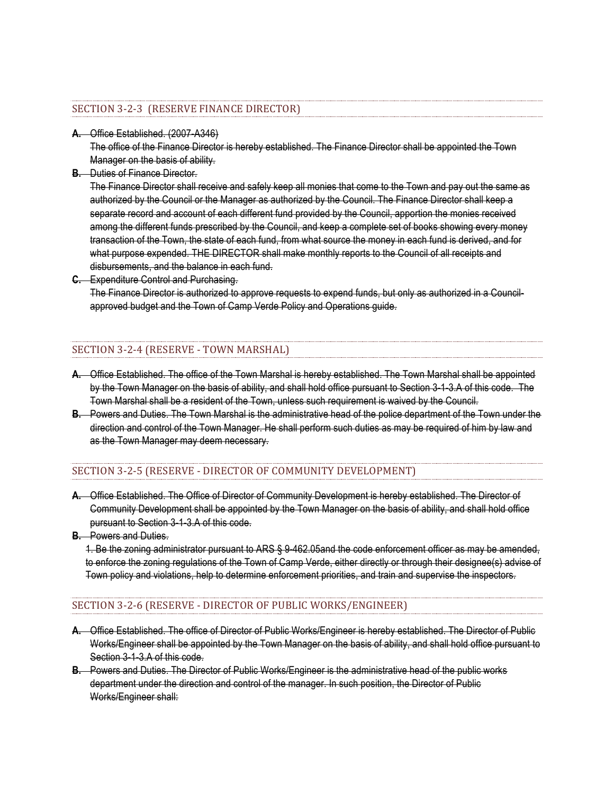# SECTION 3-2-3 (RESERVE FINANCE DIRECTOR)

#### **A.** Office Established. (2007-A346)

The office of the Finance Director is hereby established. The Finance Director shall be appointed the Town Manager on the basis of ability.

**B.** Duties of Finance Director.

The Finance Director shall receive and safely keep all monies that come to the Town and pay out the same as authorized by the Council or the Manager as authorized by the Council. The Finance Director shall keep a separate record and account of each different fund provided by the Council, apportion the monies received among the different funds prescribed by the Council, and keep a complete set of books showing every money transaction of the Town, the state of each fund, from what source the money in each fund is derived, and for what purpose expended. THE DIRECTOR shall make monthly reports to the Council of all receipts and disbursements, and the balance in each fund.

**C.** Expenditure Control and Purchasing.

The Finance Director is authorized to approve requests to expend funds, but only as authorized in a Councilapproved budget and the Town of Camp Verde Policy and Operations guide.

# SECTION 3-2-4 (RESERVE - TOWN MARSHAL)

- **A.** Office Established. The office of the Town Marshal is hereby established. The Town Marshal shall be appointed by the Town Manager on the basis of ability, and shall hold office pursuant to Section 3-1-3.A of this code. The Town Marshal shall be a resident of the Town, unless such requirement is waived by the Council.
- **B.** Powers and Duties. The Town Marshal is the administrative head of the police department of the Town under the direction and control of the Town Manager. He shall perform such duties as may be required of him by law and as the Town Manager may deem necessary.

# SECTION 3-2-5 (RESERVE - DIRECTOR OF COMMUNITY DEVELOPMENT)

- **A.** Office Established. The Office of Director of Community Development is hereby established. The Director of Community Development shall be appointed by the Town Manager on the basis of ability, and shall hold office pursuant to Section 3-1-3.A of this code.
- **B.** Powers and Duties.

1. Be the zoning administrator pursuant to ARS § 9-462.05and the code enforcement officer as may be amended, to enforce the zoning regulations of the Town of Camp Verde, either directly or through their designee(s) advise of Town policy and violations, help to determine enforcement priorities, and train and supervise the inspectors.

# SECTION 3-2-6 (RESERVE - DIRECTOR OF PUBLIC WORKS/ENGINEER)

- **A.** Office Established. The office of Director of Public Works/Engineer is hereby established. The Director of Public Works/Engineer shall be appointed by the Town Manager on the basis of ability, and shall hold office pursuant to Section 3-1-3.A of this code.
- **B.** Powers and Duties. The Director of Public Works/Engineer is the administrative head of the public works department under the direction and control of the manager. In such position, the Director of Public Works/Engineer shall: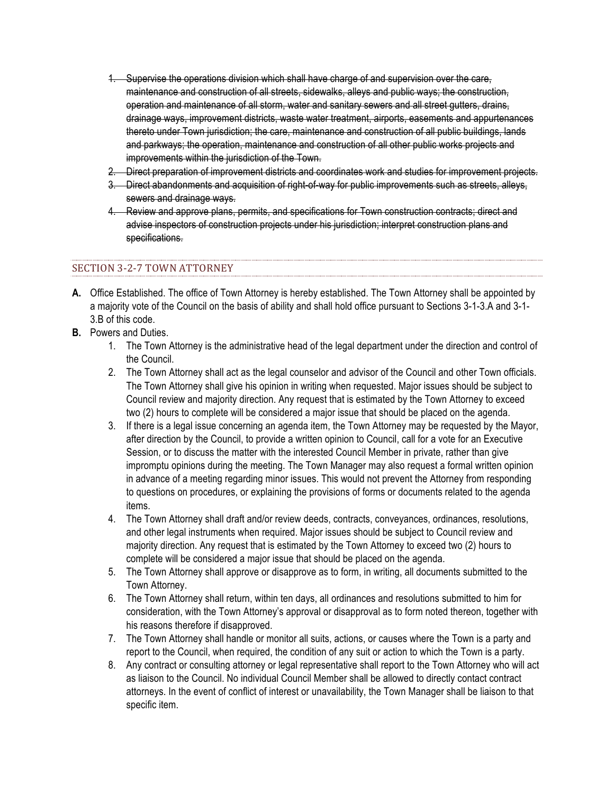- 1. Supervise the operations division which shall have charge of and supervision over the care, maintenance and construction of all streets, sidewalks, alleys and public ways; the construction, operation and maintenance of all storm, water and sanitary sewers and all street gutters, drains, drainage ways, improvement districts, waste water treatment, airports, easements and appurtenances thereto under Town jurisdiction; the care, maintenance and construction of all public buildings, lands and parkways; the operation, maintenance and construction of all other public works projects and improvements within the jurisdiction of the Town.
- 2. Direct preparation of improvement districts and coordinates work and studies for improvement projects.
- 3. Direct abandonments and acquisition of right-of-way for public improvements such as streets, alleys, sewers and drainage ways.
- 4. Review and approve plans, permits, and specifications for Town construction contracts; direct and advise inspectors of construction projects under his jurisdiction; interpret construction plans and specifications.

# SECTION 3-2-7 TOWN ATTORNEY

- **A.** Office Established. The office of Town Attorney is hereby established. The Town Attorney shall be appointed by a majority vote of the Council on the basis of ability and shall hold office pursuant to Sections 3-1-3.A and 3-1- 3.B of this code.
- **B.** Powers and Duties.
	- 1. The Town Attorney is the administrative head of the legal department under the direction and control of the Council.
	- 2. The Town Attorney shall act as the legal counselor and advisor of the Council and other Town officials. The Town Attorney shall give his opinion in writing when requested. Major issues should be subject to Council review and majority direction. Any request that is estimated by the Town Attorney to exceed two (2) hours to complete will be considered a major issue that should be placed on the agenda.
	- 3. If there is a legal issue concerning an agenda item, the Town Attorney may be requested by the Mayor, after direction by the Council, to provide a written opinion to Council, call for a vote for an Executive Session, or to discuss the matter with the interested Council Member in private, rather than give impromptu opinions during the meeting. The Town Manager may also request a formal written opinion in advance of a meeting regarding minor issues. This would not prevent the Attorney from responding to questions on procedures, or explaining the provisions of forms or documents related to the agenda items.
	- 4. The Town Attorney shall draft and/or review deeds, contracts, conveyances, ordinances, resolutions, and other legal instruments when required. Major issues should be subject to Council review and majority direction. Any request that is estimated by the Town Attorney to exceed two (2) hours to complete will be considered a major issue that should be placed on the agenda.
	- 5. The Town Attorney shall approve or disapprove as to form, in writing, all documents submitted to the Town Attorney.
	- 6. The Town Attorney shall return, within ten days, all ordinances and resolutions submitted to him for consideration, with the Town Attorney's approval or disapproval as to form noted thereon, together with his reasons therefore if disapproved.
	- 7. The Town Attorney shall handle or monitor all suits, actions, or causes where the Town is a party and report to the Council, when required, the condition of any suit or action to which the Town is a party.
	- 8. Any contract or consulting attorney or legal representative shall report to the Town Attorney who will act as liaison to the Council. No individual Council Member shall be allowed to directly contact contract attorneys. In the event of conflict of interest or unavailability, the Town Manager shall be liaison to that specific item.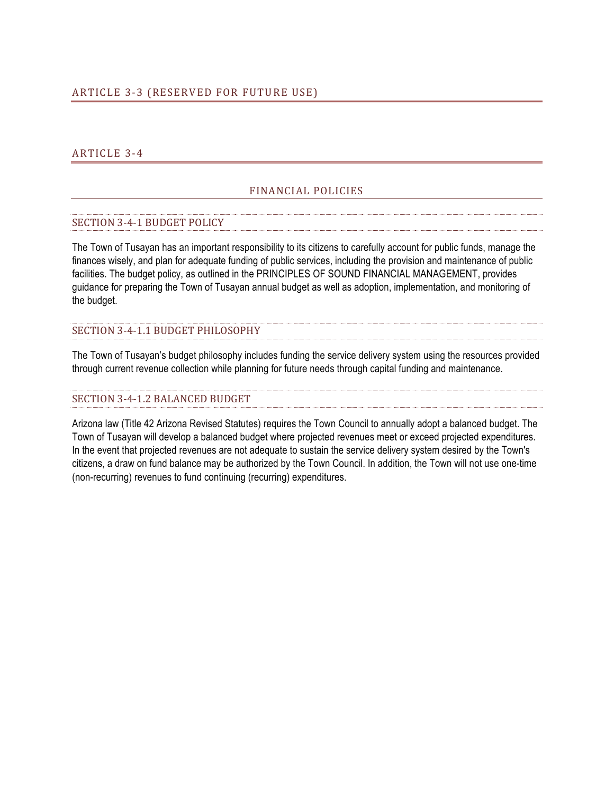# ARTICLE 3-3 (RESERVED FOR FUTURE USE)

#### ARTICLE 3-4

### FINANCIAL POLICIES

# SECTION 3-4-1 BUDGET POLICY

The Town of Tusayan has an important responsibility to its citizens to carefully account for public funds, manage the finances wisely, and plan for adequate funding of public services, including the provision and maintenance of public facilities. The budget policy, as outlined in the PRINCIPLES OF SOUND FINANCIAL MANAGEMENT, provides guidance for preparing the Town of Tusayan annual budget as well as adoption, implementation, and monitoring of the budget.

# SECTION 3-4-1.1 BUDGET PHILOSOPHY

The Town of Tusayan's budget philosophy includes funding the service delivery system using the resources provided through current revenue collection while planning for future needs through capital funding and maintenance.

#### SECTION 3-4-1.2 BALANCED BUDGET

Arizona law (Title 42 Arizona Revised Statutes) requires the Town Council to annually adopt a balanced budget. The Town of Tusayan will develop a balanced budget where projected revenues meet or exceed projected expenditures. In the event that projected revenues are not adequate to sustain the service delivery system desired by the Town's citizens, a draw on fund balance may be authorized by the Town Council. In addition, the Town will not use one-time (non-recurring) revenues to fund continuing (recurring) expenditures.